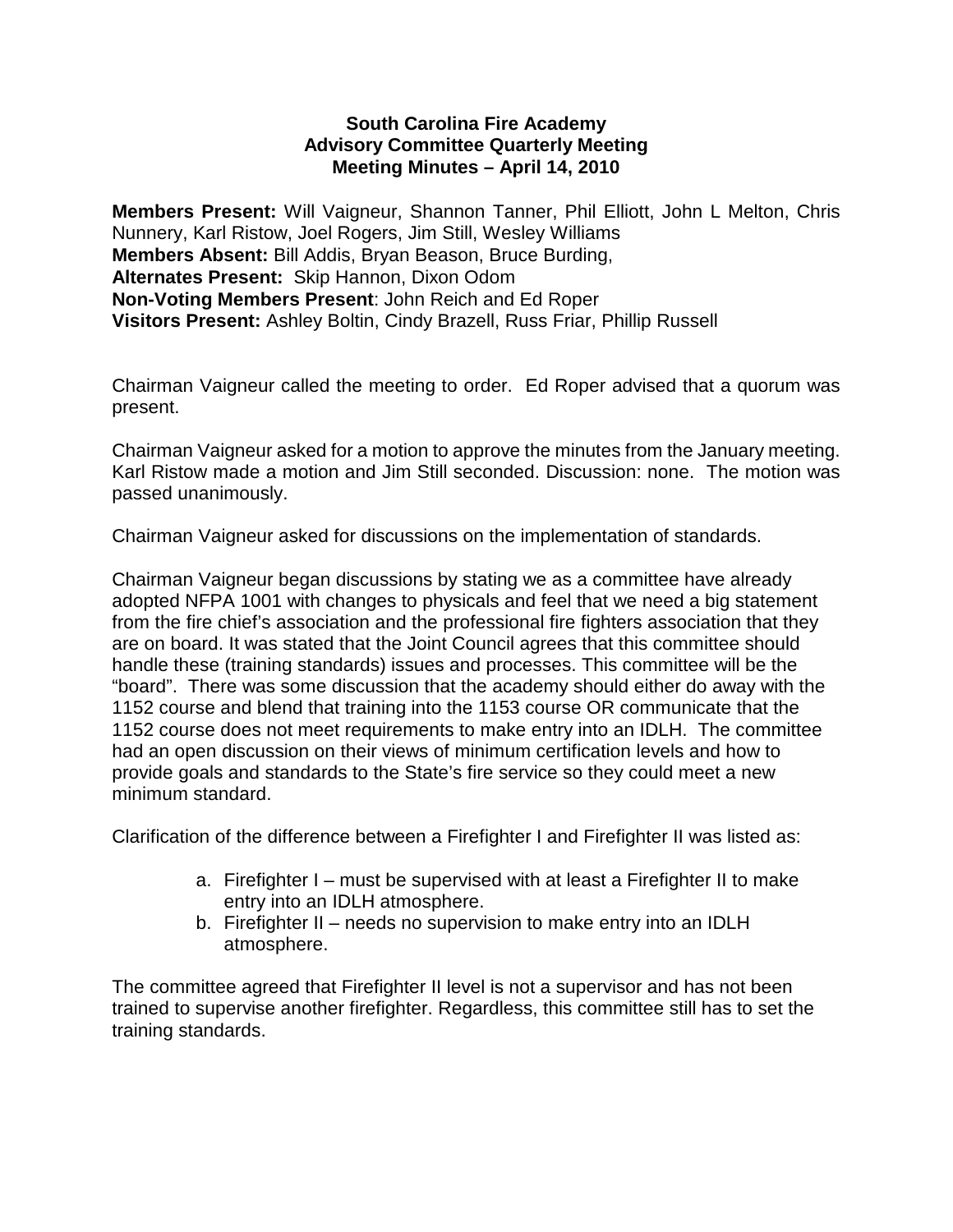### **South Carolina Fire Academy Advisory Committee Quarterly Meeting Meeting Minutes – April 14, 2010**

**Members Present:** Will Vaigneur, Shannon Tanner, Phil Elliott, John L Melton, Chris Nunnery, Karl Ristow, Joel Rogers, Jim Still, Wesley Williams **Members Absent:** Bill Addis, Bryan Beason, Bruce Burding, **Alternates Present:** Skip Hannon, Dixon Odom **Non-Voting Members Present**: John Reich and Ed Roper **Visitors Present:** Ashley Boltin, Cindy Brazell, Russ Friar, Phillip Russell

Chairman Vaigneur called the meeting to order. Ed Roper advised that a quorum was present.

Chairman Vaigneur asked for a motion to approve the minutes from the January meeting. Karl Ristow made a motion and Jim Still seconded. Discussion: none. The motion was passed unanimously.

Chairman Vaigneur asked for discussions on the implementation of standards.

Chairman Vaigneur began discussions by stating we as a committee have already adopted NFPA 1001 with changes to physicals and feel that we need a big statement from the fire chief's association and the professional fire fighters association that they are on board. It was stated that the Joint Council agrees that this committee should handle these (training standards) issues and processes. This committee will be the "board". There was some discussion that the academy should either do away with the 1152 course and blend that training into the 1153 course OR communicate that the 1152 course does not meet requirements to make entry into an IDLH. The committee had an open discussion on their views of minimum certification levels and how to provide goals and standards to the State's fire service so they could meet a new minimum standard.

Clarification of the difference between a Firefighter I and Firefighter II was listed as:

- a. Firefighter I must be supervised with at least a Firefighter II to make entry into an IDLH atmosphere.
- b. Firefighter II needs no supervision to make entry into an IDLH atmosphere.

The committee agreed that Firefighter II level is not a supervisor and has not been trained to supervise another firefighter. Regardless, this committee still has to set the training standards.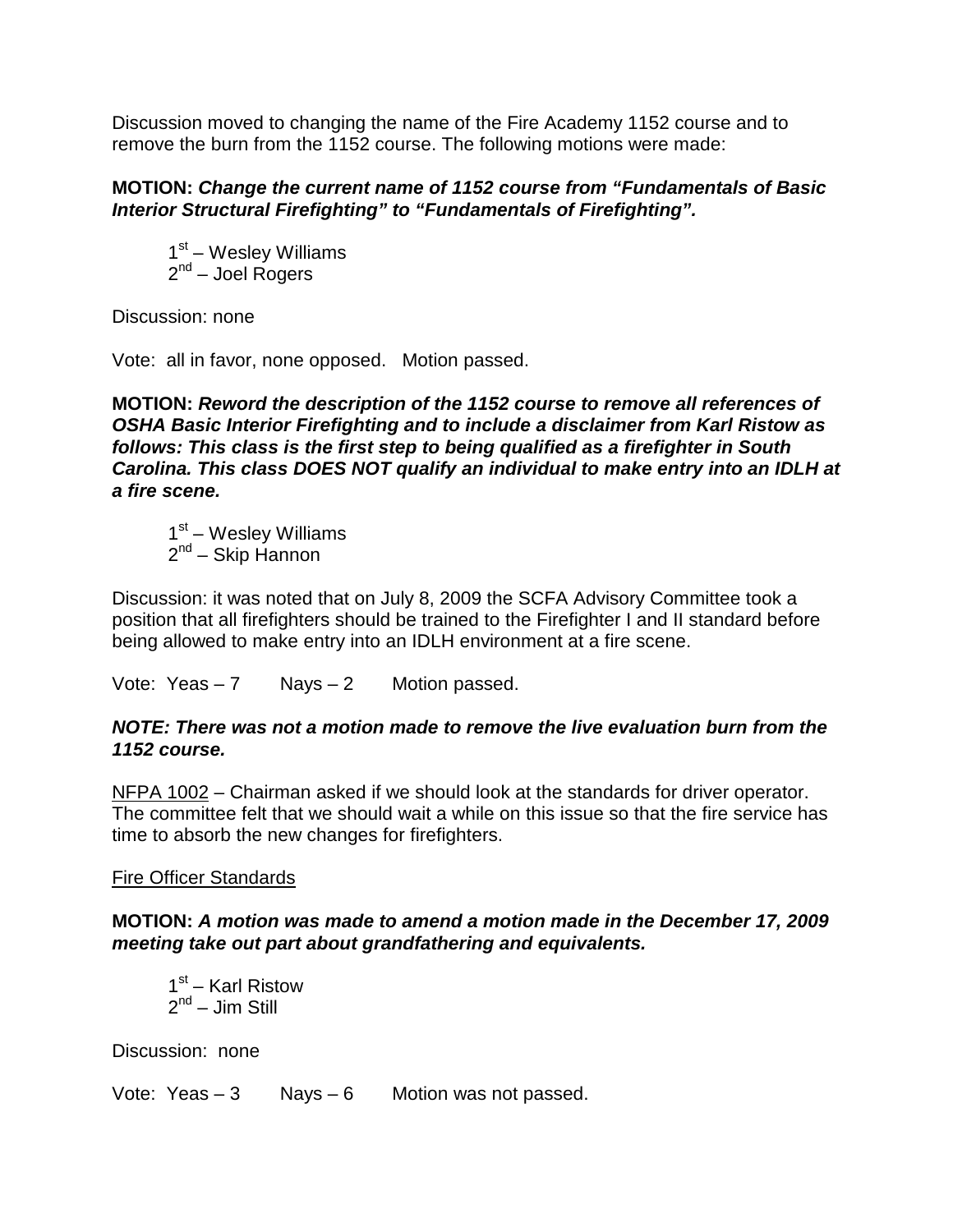Discussion moved to changing the name of the Fire Academy 1152 course and to remove the burn from the 1152 course. The following motions were made:

### **MOTION:** *Change the current name of 1152 course from "Fundamentals of Basic Interior Structural Firefighting" to "Fundamentals of Firefighting".*

 $1<sup>st</sup>$  – Wesley Williams  $2^{nd}$  – Joel Rogers

Discussion: none

Vote: all in favor, none opposed. Motion passed.

## **MOTION:** *Reword the description of the 1152 course to remove all references of OSHA Basic Interior Firefighting and to include a disclaimer from Karl Ristow as follows: This class is the first step to being qualified as a firefighter in South Carolina. This class DOES NOT qualify an individual to make entry into an IDLH at a fire scene.*

 $1<sup>st</sup>$  – Wesley Williams 2<sup>nd</sup> – Skip Hannon

Discussion: it was noted that on July 8, 2009 the SCFA Advisory Committee took a position that all firefighters should be trained to the Firefighter I and II standard before being allowed to make entry into an IDLH environment at a fire scene.

Vote: Yeas  $-7$  Nays  $-2$  Motion passed.

## *NOTE: There was not a motion made to remove the live evaluation burn from the 1152 course.*

NFPA 1002 – Chairman asked if we should look at the standards for driver operator. The committee felt that we should wait a while on this issue so that the fire service has time to absorb the new changes for firefighters.

# Fire Officer Standards

## **MOTION:** *A motion was made to amend a motion made in the December 17, 2009 meeting take out part about grandfathering and equivalents.*

 $1<sup>st</sup>$  – Karl Ristow  $2^{nd}$  – Jim Still

Discussion: none

Vote: Yeas  $-3$  Nays  $-6$  Motion was not passed.